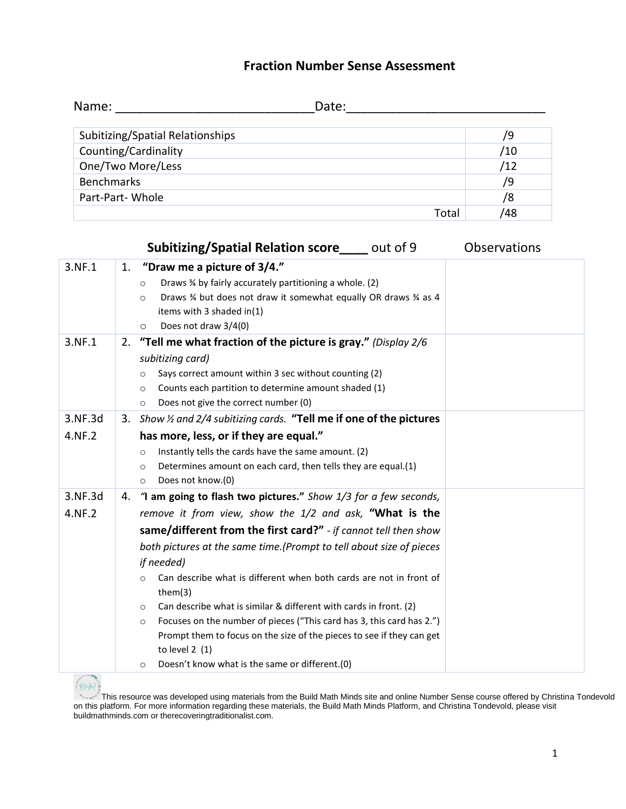## **Fraction Number Sense Assessment**

| Name:                            | Date: |     |
|----------------------------------|-------|-----|
| Subitizing/Spatial Relationships |       | /9  |
| Counting/Cardinality             |       | /10 |
| One/Two More/Less                |       | /12 |
| <b>Benchmarks</b>                |       | /9  |
| Part-Part-Whole                  |       | /8  |
|                                  | Total | 48  |

|         |    | <b>Subitizing/Spatial Relation score</b> out of 9                                | <b>Observations</b> |
|---------|----|----------------------------------------------------------------------------------|---------------------|
| 3.NF.1  | 1. | "Draw me a picture of 3/4."                                                      |                     |
|         |    | Draws % by fairly accurately partitioning a whole. (2)<br>O                      |                     |
|         |    | Draws % but does not draw it somewhat equally OR draws % as 4<br>$\circ$         |                     |
|         |    | items with 3 shaded in(1)                                                        |                     |
|         |    | Does not draw 3/4(0)<br>$\circ$                                                  |                     |
| 3.NF.1  | 2. | "Tell me what fraction of the picture is gray." (Display $2/6$                   |                     |
|         |    | subitizing card)                                                                 |                     |
|         |    | Says correct amount within 3 sec without counting (2)<br>O                       |                     |
|         |    | Counts each partition to determine amount shaded (1)<br>$\circ$                  |                     |
|         |    | Does not give the correct number (0)<br>$\circ$                                  |                     |
| 3.NF.3d |    | 3. Show 1/2 and 2/4 subitizing cards. "Tell me if one of the pictures            |                     |
| 4.NF.2  |    | has more, less, or if they are equal."                                           |                     |
|         |    | Instantly tells the cards have the same amount. (2)<br>$\circ$                   |                     |
|         |    | Determines amount on each card, then tells they are equal.(1)<br>$\circ$         |                     |
|         |    | Does not know.(0)<br>$\circ$                                                     |                     |
| 3.NF.3d | 4. | "I am going to flash two pictures." Show 1/3 for a few seconds,                  |                     |
| 4.NF.2  |    | remove it from view, show the 1/2 and ask, "What is the                          |                     |
|         |    | same/different from the first card?" - if cannot tell then show                  |                     |
|         |    | both pictures at the same time. (Prompt to tell about size of pieces             |                     |
|         |    | <i>if needed</i> )                                                               |                     |
|         |    | Can describe what is different when both cards are not in front of<br>$\circ$    |                     |
|         |    | them(3)                                                                          |                     |
|         |    | Can describe what is similar & different with cards in front. (2)<br>$\circ$     |                     |
|         |    | Focuses on the number of pieces ("This card has 3, this card has 2.")<br>$\circ$ |                     |
|         |    | Prompt them to focus on the size of the pieces to see if they can get            |                     |
|         |    | to level $2(1)$                                                                  |                     |
|         |    | Doesn't know what is the same or different.(0)<br>O                              |                     |

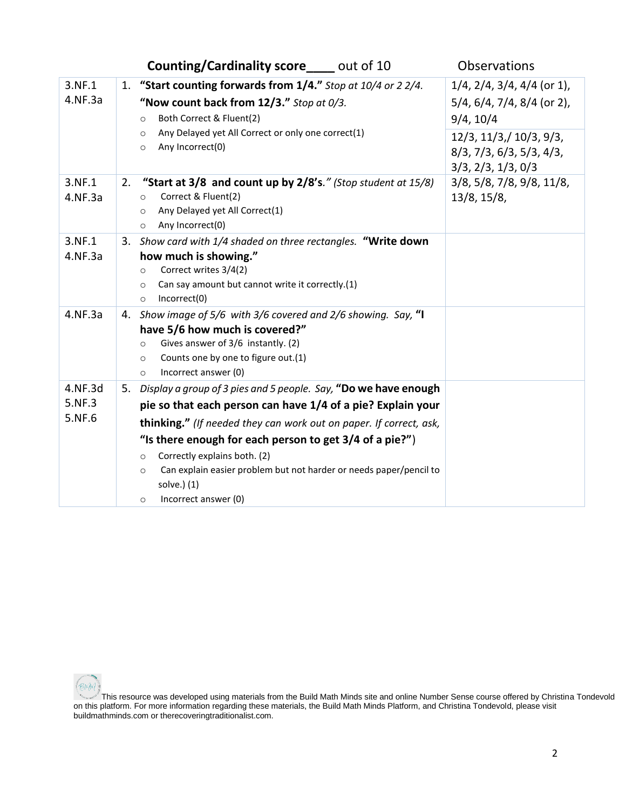|                             | <b>Counting/Cardinality score</b> ____ out of 10                                                                                                                                                                                                                                                                                                                                                                                                      | Observations                                                                                                                                          |
|-----------------------------|-------------------------------------------------------------------------------------------------------------------------------------------------------------------------------------------------------------------------------------------------------------------------------------------------------------------------------------------------------------------------------------------------------------------------------------------------------|-------------------------------------------------------------------------------------------------------------------------------------------------------|
| 3.NF.1<br>4.NF.3a           | 1. "Start counting forwards from 1/4." Stop at 10/4 or 2 2/4.<br>"Now count back from 12/3." Stop at 0/3.<br>Both Correct & Fluent(2)<br>$\circ$<br>Any Delayed yet All Correct or only one correct(1)<br>$\circ$<br>Any Incorrect(0)<br>$\circ$                                                                                                                                                                                                      | $1/4$ , $2/4$ , $3/4$ , $4/4$ (or 1),<br>$5/4$ , 6/4, 7/4, 8/4 (or 2),<br>9/4, 10/4<br>$12/3$ , $11/3$ , $10/3$ , $9/3$ ,<br>8/3, 7/3, 6/3, 5/3, 4/3, |
| 3.NF.1<br>4.NF.3a           | "Start at 3/8 and count up by 2/8's." (Stop student at 15/8)<br>2.<br>Correct & Fluent(2)<br>$\circ$<br>Any Delayed yet All Correct(1)<br>$\circ$<br>Any Incorrect(0)<br>$\circ$                                                                                                                                                                                                                                                                      | 3/3, 2/3, 1/3, 0/3<br>$3/8$ , $5/8$ , $7/8$ , $9/8$ , $11/8$ ,<br>13/8, 15/8,                                                                         |
| 3.NF.1<br>4.NF.3a           | 3. Show card with 1/4 shaded on three rectangles. "Write down<br>how much is showing."<br>Correct writes 3/4(2)<br>$\circ$<br>Can say amount but cannot write it correctly.(1)<br>$\circ$<br>Incorrect(0)<br>$\circ$                                                                                                                                                                                                                                  |                                                                                                                                                       |
| 4.NF.3a                     | 4. Show image of 5/6 with 3/6 covered and 2/6 showing. Say, "I<br>have 5/6 how much is covered?"<br>Gives answer of 3/6 instantly. (2)<br>$\circ$<br>Counts one by one to figure out.(1)<br>$\circ$<br>Incorrect answer (0)<br>$\circ$                                                                                                                                                                                                                |                                                                                                                                                       |
| 4.NF.3d<br>5.NF.3<br>5.NF.6 | Display a group of 3 pies and 5 people. Say, "Do we have enough<br>5.<br>pie so that each person can have 1/4 of a pie? Explain your<br>thinking." (If needed they can work out on paper. If correct, ask,<br>"Is there enough for each person to get $3/4$ of a pie?")<br>Correctly explains both. (2)<br>$\circ$<br>Can explain easier problem but not harder or needs paper/pencil to<br>$\circ$<br>solve.) (1)<br>Incorrect answer (0)<br>$\circ$ |                                                                                                                                                       |

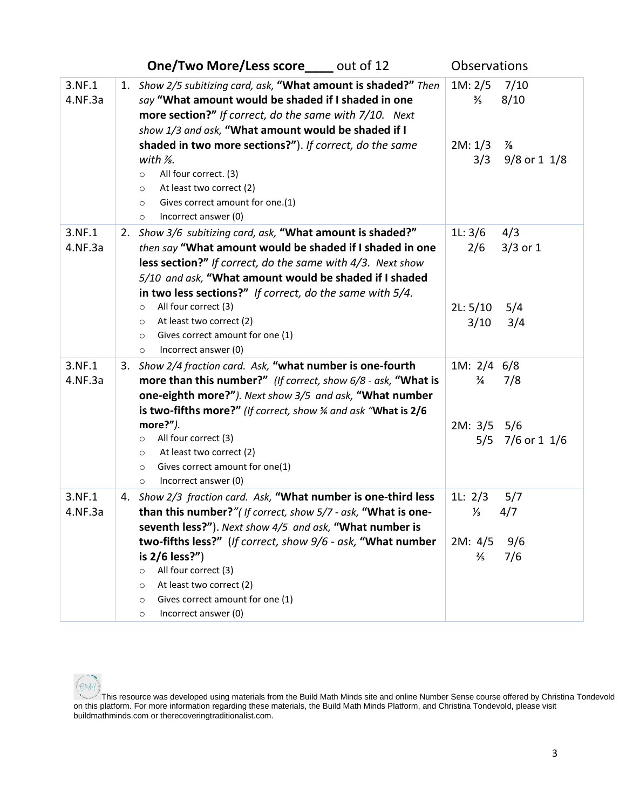|                   | <b>One/Two More/Less score</b> out of 12                                                                                                                                                                                                                                                                                           | Observations                            |
|-------------------|------------------------------------------------------------------------------------------------------------------------------------------------------------------------------------------------------------------------------------------------------------------------------------------------------------------------------------|-----------------------------------------|
| 3.NF.1<br>4.NF.3a | 1. Show 2/5 subitizing card, ask, "What amount is shaded?" Then<br>say "What amount would be shaded if I shaded in one<br>more section?" If correct, do the same with 7/10. Next<br>show 1/3 and ask, "What amount would be shaded if I                                                                                            | 1M: 2/5<br>7/10<br>8/10<br>⅗            |
|                   | shaded in two more sections?"). If correct, do the same<br>with $\frac{1}{2}$ .<br>All four correct. (3)<br>$\circ$<br>At least two correct (2)<br>$\circ$<br>Gives correct amount for one.(1)<br>$\circ$<br>Incorrect answer (0)<br>$\circ$                                                                                       | 2M: 1/3<br>⅛<br>3/3<br>$9/8$ or 1 $1/8$ |
| 3.NF.1<br>4.NF.3a | 2. Show 3/6 subitizing card, ask, "What amount is shaded?"<br>then say "What amount would be shaded if I shaded in one<br>less section?" If correct, do the same with 4/3. Next show<br>5/10 and ask, "What amount would be shaded if I shaded<br>in two less sections?" If correct, do the same with 5/4.<br>All four correct (3) | 1L: 3/6<br>4/3<br>2/6<br>$3/3$ or 1     |
|                   | $\circ$<br>At least two correct (2)<br>$\circ$<br>Gives correct amount for one (1)<br>$\circ$<br>Incorrect answer (0)<br>$\circ$                                                                                                                                                                                                   | 5/4<br>2L: 5/10<br>3/10<br>3/4          |
| 3.NF.1<br>4.NF.3a | 3. Show 2/4 fraction card. Ask, "what number is one-fourth<br>more than this number?" (If correct, show 6/8 - ask, "What is<br>one-eighth more?"). Next show 3/5 and ask, "What number<br>is two-fifths more?" (If correct, show % and ask "What is 2/6                                                                            | 1M: 2/4 6/8<br>$\frac{3}{4}$<br>7/8     |
|                   | more? $'$ ).<br>All four correct (3)<br>$\circ$<br>At least two correct (2)<br>$\circ$<br>Gives correct amount for one(1)<br>$\circ$<br>Incorrect answer (0)<br>$\circ$                                                                                                                                                            | $2M: 3/5$ 5/6<br>$5/5$ 7/6 or 1 1/6     |
| 3.NF.1<br>4.NF.3a | 4. Show 2/3 fraction card. Ask, "What number is one-third less<br>than this number?"(If correct, show 5/7 - ask, "What is one-<br>seventh less?"). Next show 4/5 and ask, "What number is                                                                                                                                          | 11: $2/3$<br>5/7<br>$\frac{1}{3}$ 4/7   |
|                   | two-fifths less?" (If correct, show 9/6 - ask, "What number<br>is 2/6 less?")<br>All four correct (3)<br>$\circ$<br>At least two correct (2)<br>$\circ$<br>Gives correct amount for one (1)<br>$\circ$<br>Incorrect answer (0)<br>$\circ$                                                                                          | 2M: 4/5<br>9/6<br>$\frac{2}{5}$<br>7/6  |



This resource was developed using materials from the Build Math Minds site and online Number Sense course offered by Christina Tondevold on this platform. For more information regarding these materials, the Build Math Minds Platform, and Christina Tondevold, please visit buildmathminds.com or therecoveringtraditionalist.com.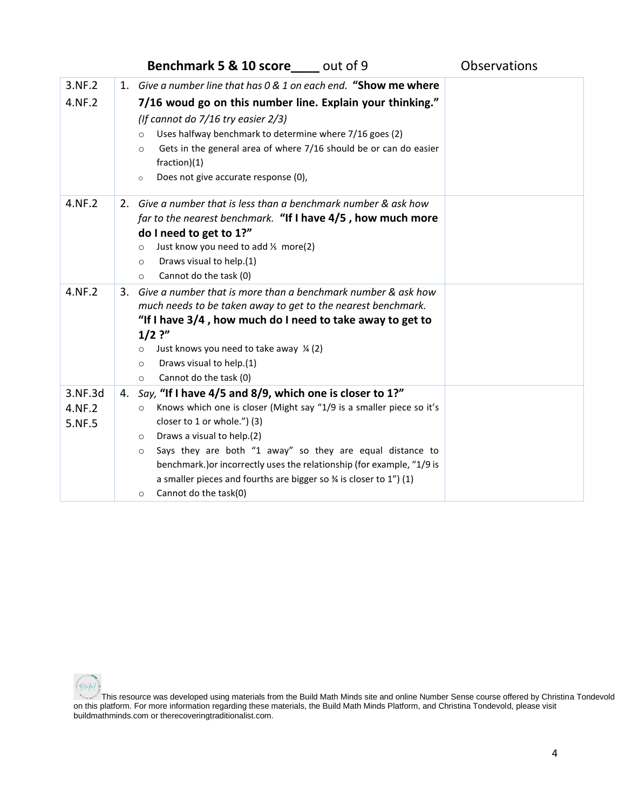|         | <b>Benchmark 5 &amp; 10 score</b> out of 9                                      | Observations |
|---------|---------------------------------------------------------------------------------|--------------|
| 3.NF.2  | 1. Give a number line that has 0 & 1 on each end. "Show me where                |              |
| 4.NF.2  | 7/16 woud go on this number line. Explain your thinking."                       |              |
|         | (If cannot do $7/16$ try easier $2/3$ )                                         |              |
|         | Uses halfway benchmark to determine where 7/16 goes (2)<br>$\circ$              |              |
|         | Gets in the general area of where 7/16 should be or can do easier<br>$\circ$    |              |
|         | fraction)(1)                                                                    |              |
|         | Does not give accurate response (0),<br>$\circ$                                 |              |
| 4.NF.2  | 2. Give a number that is less than a benchmark number & ask how                 |              |
|         | far to the nearest benchmark. "If I have 4/5, how much more                     |              |
|         | do I need to get to 1?"                                                         |              |
|         | Just know you need to add 1/ <sub>5</sub> more(2)<br>$\circ$                    |              |
|         | Draws visual to help.(1)<br>$\circ$                                             |              |
|         | Cannot do the task (0)<br>$\circ$                                               |              |
| 4.NF.2  | Give a number that is more than a benchmark number & ask how<br>3.              |              |
|         | much needs to be taken away to get to the nearest benchmark.                    |              |
|         | "If I have 3/4, how much do I need to take away to get to<br>$1/2$ ?"           |              |
|         | Just knows you need to take away $\frac{1}{4}$ (2)<br>$\circ$                   |              |
|         | Draws visual to help.(1)<br>O                                                   |              |
|         | Cannot do the task (0)<br>$\circ$                                               |              |
| 3.NF.3d | Say, "If I have 4/5 and 8/9, which one is closer to 1?"<br>4.                   |              |
| 4.NF.2  | Knows which one is closer (Might say "1/9 is a smaller piece so it's<br>$\circ$ |              |
| 5.NF.5  | closer to 1 or whole.") (3)                                                     |              |
|         | Draws a visual to help.(2)<br>$\circ$                                           |              |
|         | Says they are both "1 away" so they are equal distance to<br>$\circ$            |              |
|         | benchmark.) or incorrectly uses the relationship (for example, "1/9 is          |              |
|         | a smaller pieces and fourths are bigger so % is closer to 1") (1)               |              |
|         | Cannot do the task(0)<br>$\circ$                                                |              |

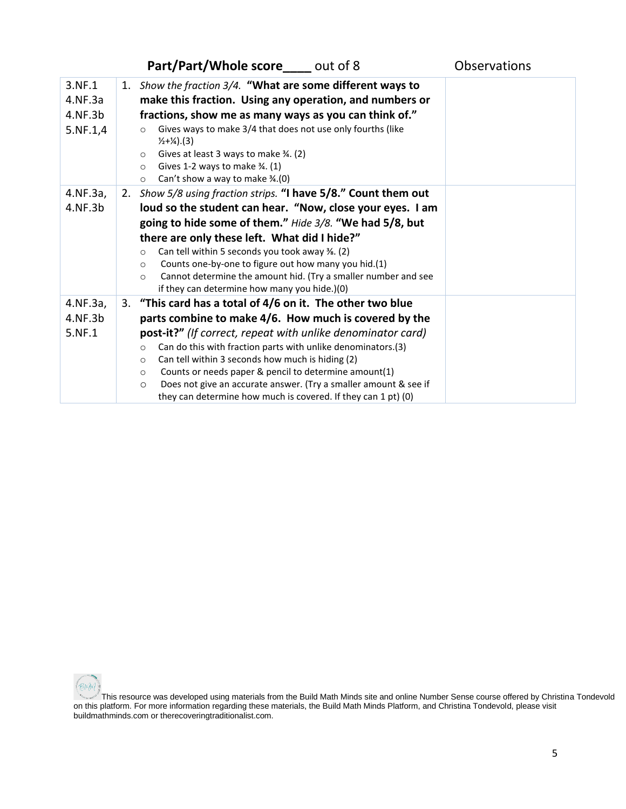|                                          | Part/Part/Whole score out of 8                                                                                                                                                                                                                                                                                                                                                                                                                                                                                                                   | <b>Observations</b> |
|------------------------------------------|--------------------------------------------------------------------------------------------------------------------------------------------------------------------------------------------------------------------------------------------------------------------------------------------------------------------------------------------------------------------------------------------------------------------------------------------------------------------------------------------------------------------------------------------------|---------------------|
| 3.NF.1<br>4.NF.3a<br>4.NF.3b<br>5.NF.1,4 | 1. Show the fraction 3/4. "What are some different ways to<br>make this fraction. Using any operation, and numbers or<br>fractions, show me as many ways as you can think of."<br>Gives ways to make 3/4 that does not use only fourths (like<br>$\circ$<br>$\frac{1}{2} + \frac{1}{4}$ . (3)<br>Gives at least 3 ways to make 34. (2)<br>$\circ$<br>Gives 1-2 ways to make $\frac{3}{4}$ . (1)<br>$\circ$<br>Can't show a way to make $\frac{3}{4}$ .(0)<br>$\circ$                                                                             |                     |
| 4.NF.3a,<br>4.NF.3b                      | 2. Show 5/8 using fraction strips. "I have 5/8." Count them out<br>loud so the student can hear. "Now, close your eyes. I am<br>going to hide some of them." Hide 3/8. "We had 5/8, but<br>there are only these left. What did I hide?"<br>Can tell within 5 seconds you took away 3/8. (2)<br>$\circ$<br>Counts one-by-one to figure out how many you hid.(1)<br>$\circ$<br>Cannot determine the amount hid. (Try a smaller number and see<br>$\circ$<br>if they can determine how many you hide.)(0)                                           |                     |
| 4.NF.3a,<br>4.NF.3b<br>5.NF.1            | 3. "This card has a total of 4/6 on it. The other two blue<br>parts combine to make 4/6. How much is covered by the<br>post-it?" (If correct, repeat with unlike denominator card)<br>Can do this with fraction parts with unlike denominators.(3)<br>$\circ$<br>Can tell within 3 seconds how much is hiding (2)<br>$\circ$<br>Counts or needs paper & pencil to determine amount(1)<br>$\circ$<br>Does not give an accurate answer. (Try a smaller amount & see if<br>$\circ$<br>they can determine how much is covered. If they can 1 pt) (0) |                     |

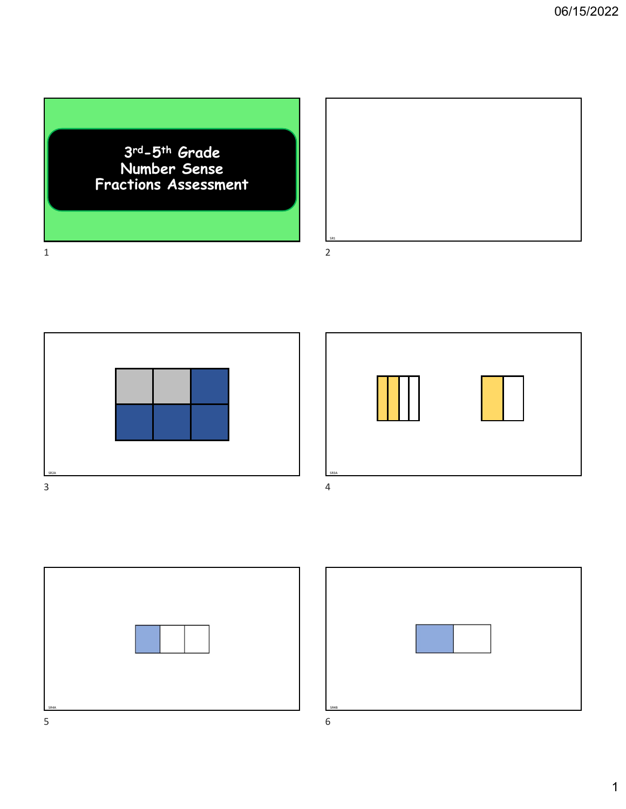## 3rd-5th Grade Number Sense Fractions Assessment



SR2A SR3A





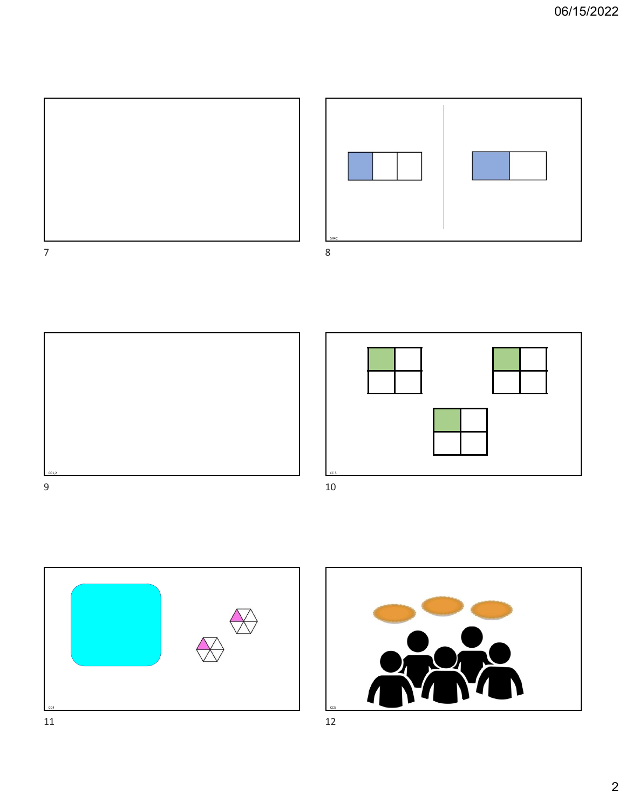







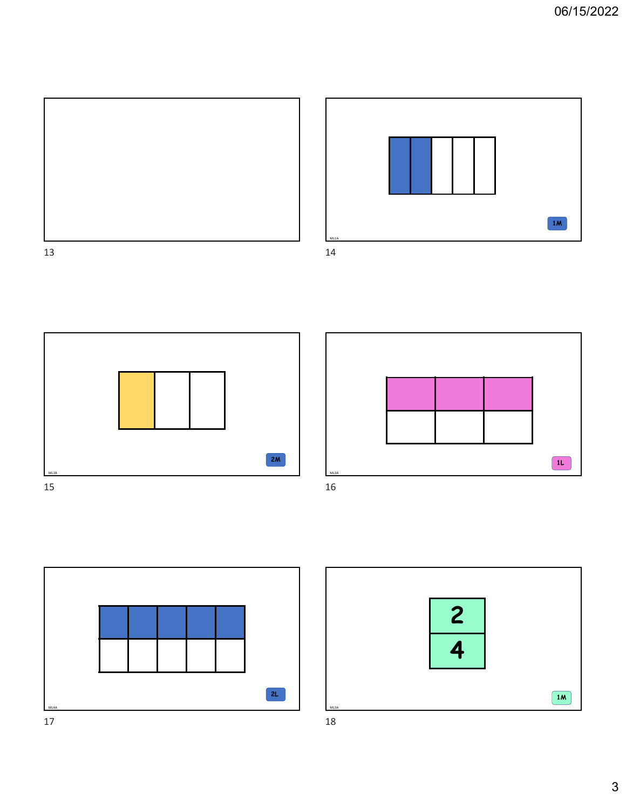







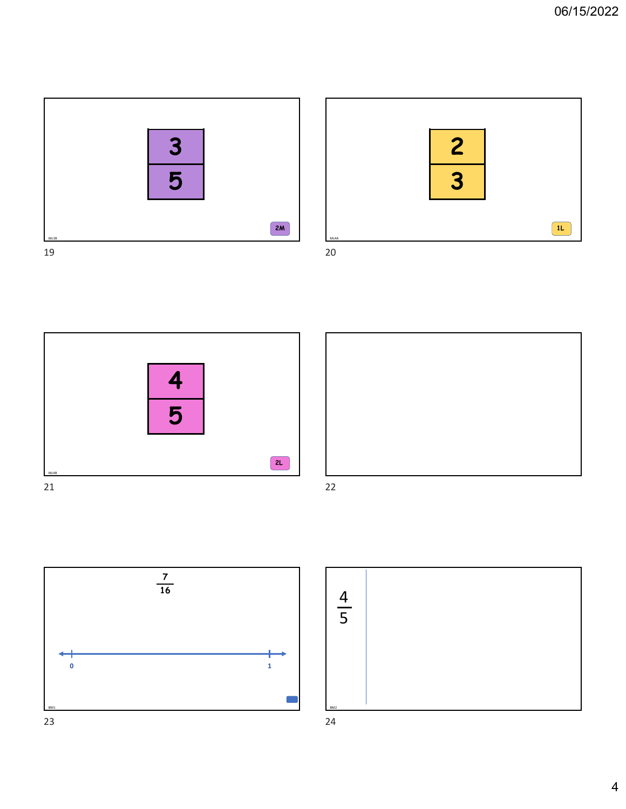



4 | | 5 | |  $\frac{4}{5}$ 







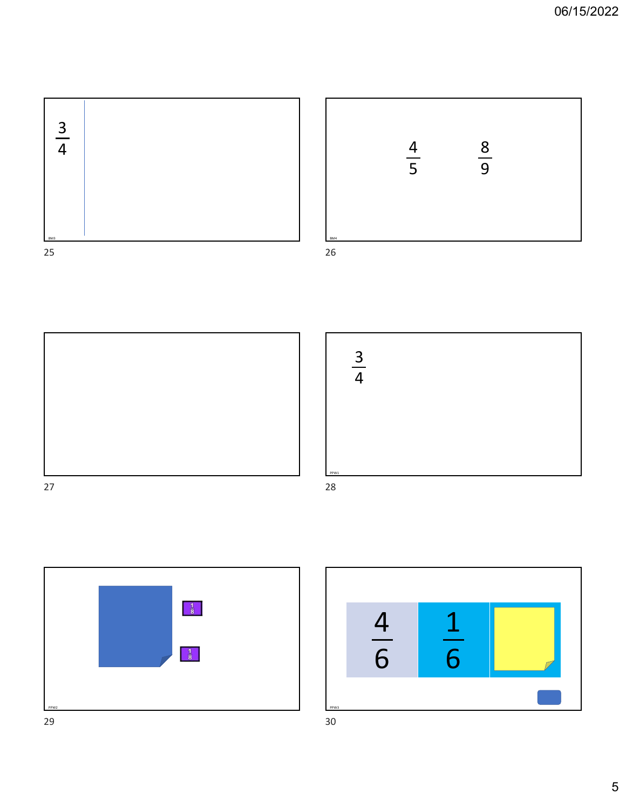